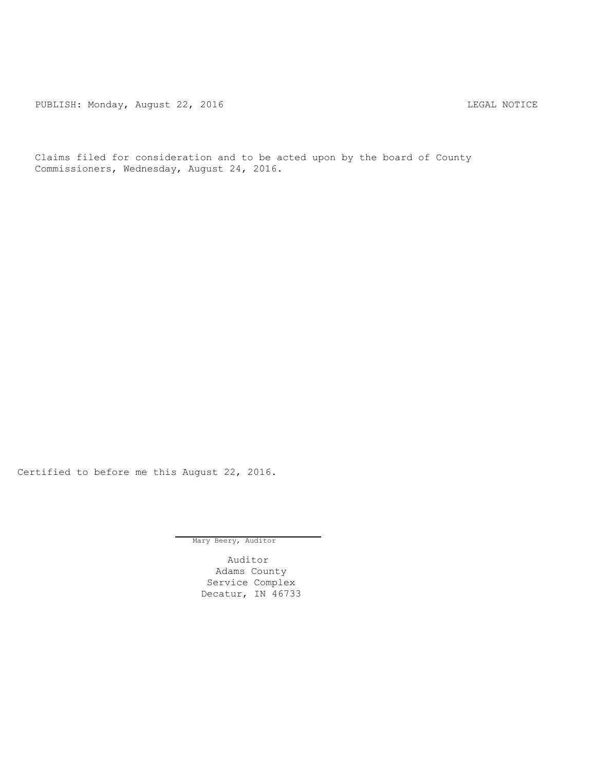PUBLISH: Monday, August 22, 2016 CHA CHANGE CONTROLLING MOTICE

Claims filed for consideration and to be acted upon by the board of County Commissioners, Wednesday, August 24, 2016.

Certified to before me this August 22, 2016.

Mary Beery, Auditor

Auditor Adams County Service Complex Decatur, IN 46733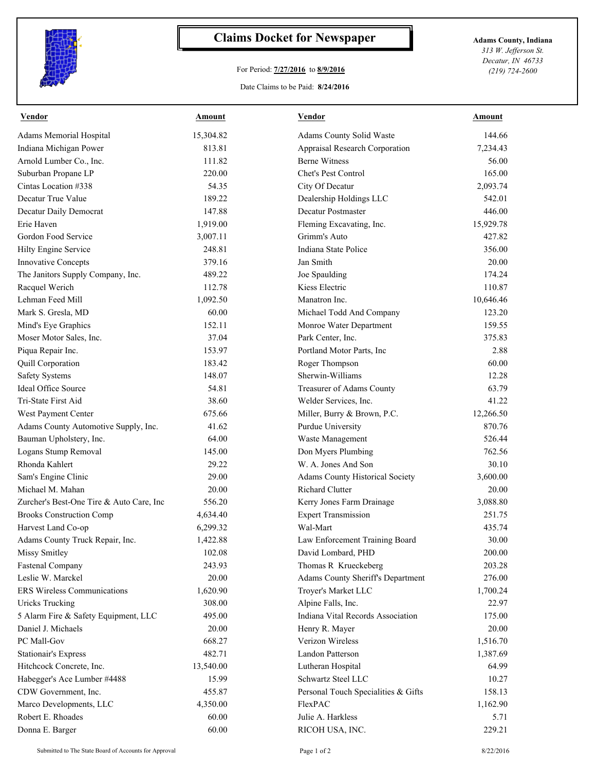

## **Claims Docket for Newspaper Adams County, Indiana**

## For Period: **7/27/2016** to **8/9/2016**

*313 W. Jefferson St. Decatur, IN 46733 (219) 724-2600*

## Date Claims to be Paid: **8/24/2016**

| <b>Vendor</b>                            | Amount    | Vendor                              | Amount    |
|------------------------------------------|-----------|-------------------------------------|-----------|
| Adams Memorial Hospital                  | 15,304.82 | Adams County Solid Waste            | 144.66    |
| Indiana Michigan Power                   | 813.81    | Appraisal Research Corporation      | 7,234.43  |
| Arnold Lumber Co., Inc.                  | 111.82    | <b>Berne Witness</b>                | 56.00     |
| Suburban Propane LP                      | 220.00    | Chet's Pest Control                 | 165.00    |
| Cintas Location #338                     | 54.35     | City Of Decatur                     | 2,093.74  |
| Decatur True Value                       | 189.22    | Dealership Holdings LLC             | 542.01    |
| Decatur Daily Democrat                   | 147.88    | <b>Decatur Postmaster</b>           | 446.00    |
| Erie Haven                               | 1,919.00  | Fleming Excavating, Inc.            | 15,929.78 |
| Gordon Food Service                      | 3,007.11  | Grimm's Auto                        | 427.82    |
| Hilty Engine Service                     | 248.81    | Indiana State Police                | 356.00    |
| Innovative Concepts                      | 379.16    | Jan Smith                           | 20.00     |
| The Janitors Supply Company, Inc.        | 489.22    | Joe Spaulding                       | 174.24    |
| Racquel Werich                           | 112.78    | Kiess Electric                      | 110.87    |
| Lehman Feed Mill                         | 1,092.50  | Manatron Inc.                       | 10,646.46 |
| Mark S. Gresla, MD                       | 60.00     | Michael Todd And Company            | 123.20    |
| Mind's Eye Graphics                      | 152.11    | Monroe Water Department             | 159.55    |
| Moser Motor Sales, Inc.                  | 37.04     | Park Center, Inc.                   | 375.83    |
| Piqua Repair Inc.                        | 153.97    | Portland Motor Parts, Inc           | 2.88      |
| Quill Corporation                        | 183.42    | Roger Thompson                      | 60.00     |
| <b>Safety Systems</b>                    | 148.07    | Sherwin-Williams                    | 12.28     |
| Ideal Office Source                      | 54.81     | Treasurer of Adams County           | 63.79     |
| Tri-State First Aid                      | 38.60     | Welder Services, Inc.               | 41.22     |
| West Payment Center                      | 675.66    | Miller, Burry & Brown, P.C.         | 12,266.50 |
| Adams County Automotive Supply, Inc.     | 41.62     | Purdue University                   | 870.76    |
| Bauman Upholstery, Inc.                  | 64.00     | Waste Management                    | 526.44    |
| Logans Stump Removal                     | 145.00    | Don Myers Plumbing                  | 762.56    |
| Rhonda Kahlert                           | 29.22     | W. A. Jones And Son                 | 30.10     |
| Sam's Engine Clinic                      | 29.00     | Adams County Historical Society     | 3,600.00  |
| Michael M. Mahan                         | 20.00     | <b>Richard Clutter</b>              | 20.00     |
| Zurcher's Best-One Tire & Auto Care, Inc | 556.20    | Kerry Jones Farm Drainage           | 3,088.80  |
| <b>Brooks Construction Comp</b>          | 4,634.40  | <b>Expert Transmission</b>          | 251.75    |
| Harvest Land Co-op                       | 6,299.32  | Wal-Mart                            | 435.74    |
| Adams County Truck Repair, Inc.          | 1,422.88  | Law Enforcement Training Board      | 30.00     |
| Missy Smitley                            | 102.08    | David Lombard, PHD                  | 200.00    |
| <b>Fastenal Company</b>                  | 243.93    | Thomas R Krueckeberg                | 203.28    |
| Leslie W. Marckel                        | 20.00     | Adams County Sheriff's Department   | 276.00    |
| ERS Wireless Communications              | 1,620.90  | Troyer's Market LLC                 | 1,700.24  |
| <b>Uricks Trucking</b>                   | 308.00    | Alpine Falls, Inc.                  | 22.97     |
| 5 Alarm Fire & Safety Equipment, LLC     | 495.00    | Indiana Vital Records Association   | 175.00    |
| Daniel J. Michaels                       | 20.00     | Henry R. Mayer                      | 20.00     |
| PC Mall-Gov                              | 668.27    | Verizon Wireless                    | 1,516.70  |
| <b>Stationair's Express</b>              | 482.71    | Landon Patterson                    | 1,387.69  |
| Hitchcock Concrete, Inc.                 | 13,540.00 | Lutheran Hospital                   | 64.99     |
| Habegger's Ace Lumber #4488              | 15.99     | Schwartz Steel LLC                  | 10.27     |
| CDW Government, Inc.                     | 455.87    | Personal Touch Specialities & Gifts | 158.13    |
| Marco Developments, LLC                  | 4,350.00  | FlexPAC                             | 1,162.90  |
| Robert E. Rhoades                        | 60.00     | Julie A. Harkless                   | 5.71      |
| Donna E. Barger                          | 60.00     | RICOH USA, INC.                     | 229.21    |
|                                          |           |                                     |           |